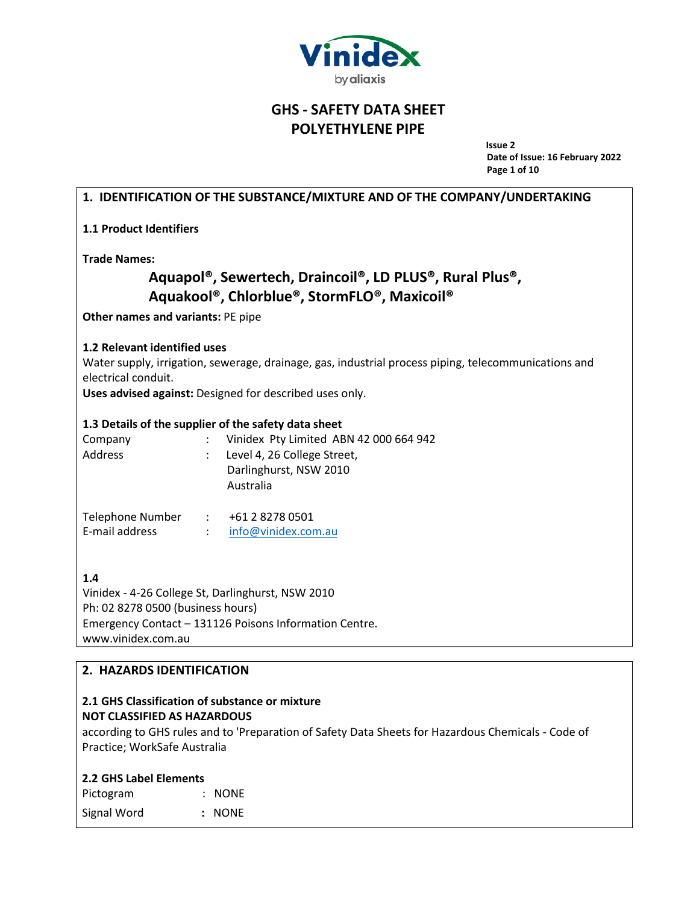

**Issue 2 Date of Issue: 16 February 2022 Page 1 of 10**

# **1. IDENTIFICATION OF THE SUBSTANCE/MIXTURE AND OF THE COMPANY/UNDERTAKING**

**1.1 Product Identifiers**

**Trade Names:**

# **Aquapol®, Sewertech, Draincoil®, LD PLUS®, Rural Plus®, Aquakool®, Chlorblue®, StormFLO®, Maxicoil®**

**Other names and variants:** PE pipe

## **1.2 Relevant identified uses**

Water supply, irrigation, sewerage, drainage, gas, industrial process piping, telecommunications and electrical conduit.

**Uses advised against:** Designed for described uses only.

#### **1.3 Details of the supplier of the safety data sheet**

| Company | Vinidex Pty Limited ABN 42 000 664 942 |
|---------|----------------------------------------|
| Address | Level 4, 26 College Street,            |
|         | Darlinghurst, NSW 2010                 |
|         | Australia                              |
|         |                                        |

| Telephone Number | +61 2 8278 0501     |
|------------------|---------------------|
| E-mail address   | info@vinidex.com.au |

**1.4**

Vinidex - 4-26 College St, Darlinghurst, NSW 2010 Ph: 02 8278 0500 (business hours) Emergency Contact – 131126 Poisons Information Centre. [www.vinidex.com.au](http://www.vinidex.com.au/)

## **2. HAZARDS IDENTIFICATION**

## **2.1 GHS Classification of substance or mixture NOT CLASSIFIED AS HAZARDOUS**

according to GHS rules and to 'Preparation of Safety Data Sheets for Hazardous Chemicals - Code of Practice; WorkSafe Australia

## **2.2 GHS Label Elements**

| Pictogram   | $:$ NONE |
|-------------|----------|
| Signal Word | : NONE   |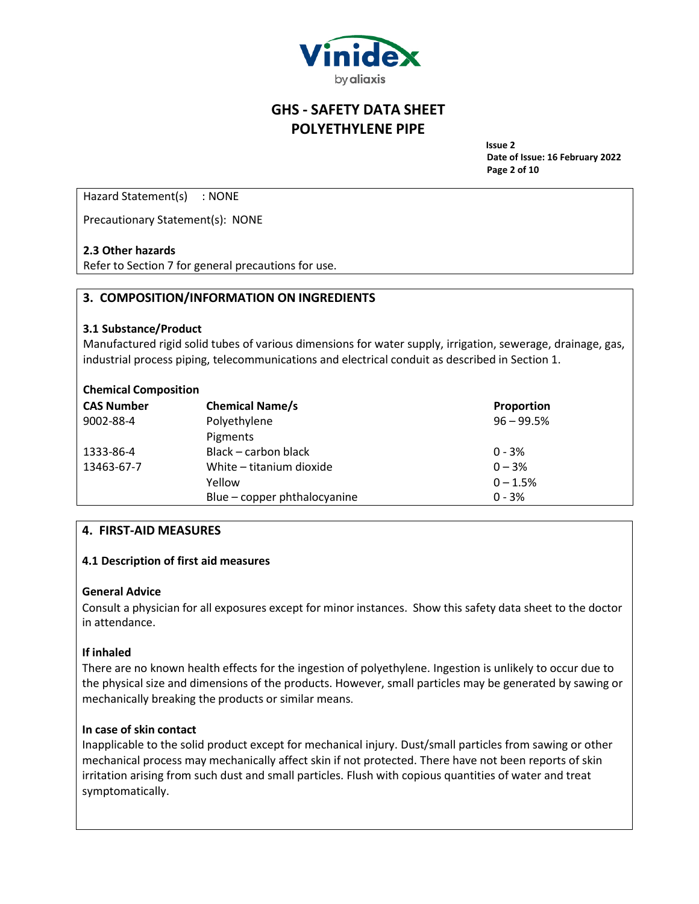

**Issue 2 Date of Issue: 16 February 2022 Page 2 of 10**

Hazard Statement(s) : NONE

Precautionary Statement(s): NONE

#### **2.3 Other hazards**

Refer to Section 7 for general precautions for use.

## **3. COMPOSITION/INFORMATION ON INGREDIENTS**

#### **3.1 Substance/Product**

Manufactured rigid solid tubes of various dimensions for water supply, irrigation, sewerage, drainage, gas, industrial process piping, telecommunications and electrical conduit as described in Section 1.

#### **Chemical Composition**

| <b>CAS Number</b> | <b>Chemical Name/s</b>       | Proportion   |
|-------------------|------------------------------|--------------|
| 9002-88-4         | Polyethylene                 | $96 - 99.5%$ |
|                   | Pigments                     |              |
| 1333-86-4         | Black – carbon black         | $0 - 3%$     |
| 13463-67-7        | White - titanium dioxide     | $0 - 3%$     |
|                   | Yellow                       | $0 - 1.5%$   |
|                   | Blue - copper phthalocyanine | $0 - 3%$     |

#### **4. FIRST-AID MEASURES**

#### **4.1 Description of first aid measures**

#### **General Advice**

Consult a physician for all exposures except for minor instances. Show this safety data sheet to the doctor in attendance.

#### **If inhaled**

There are no known health effects for the ingestion of polyethylene. Ingestion is unlikely to occur due to the physical size and dimensions of the products. However, small particles may be generated by sawing or mechanically breaking the products or similar means.

#### **In case of skin contact**

Inapplicable to the solid product except for mechanical injury. Dust/small particles from sawing or other mechanical process may mechanically affect skin if not protected. There have not been reports of skin irritation arising from such dust and small particles. Flush with copious quantities of water and treat symptomatically.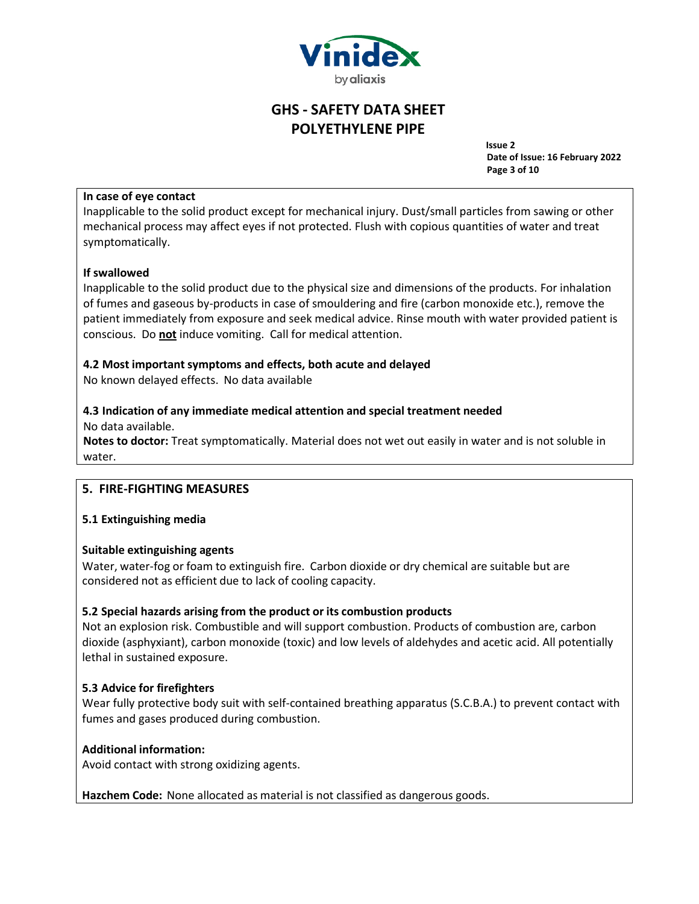

**Issue 2 Date of Issue: 16 February 2022 Page 3 of 10**

## **In case of eye contact**

Inapplicable to the solid product except for mechanical injury. Dust/small particles from sawing or other mechanical process may affect eyes if not protected. Flush with copious quantities of water and treat symptomatically.

## **If swallowed**

Inapplicable to the solid product due to the physical size and dimensions of the products. For inhalation of fumes and gaseous by-products in case of smouldering and fire (carbon monoxide etc.), remove the patient immediately from exposure and seek medical advice. Rinse mouth with water provided patient is conscious. Do **not** induce vomiting. Call for medical attention.

## **4.2 Most important symptoms and effects, both acute and delayed**

No known delayed effects. No data available

# **4.3 Indication of any immediate medical attention and special treatment needed**

No data available.

**Notes to doctor:** Treat symptomatically. Material does not wet out easily in water and is not soluble in water.

## **5. FIRE-FIGHTING MEASURES**

## **5.1 Extinguishing media**

## **Suitable extinguishing agents**

Water, water-fog or foam to extinguish fire. Carbon dioxide or dry chemical are suitable but are considered not as efficient due to lack of cooling capacity.

## **5.2 Special hazards arising from the product or its combustion products**

Not an explosion risk. Combustible and will support combustion. Products of combustion are, carbon dioxide (asphyxiant), carbon monoxide (toxic) and low levels of aldehydes and acetic acid. All potentially lethal in sustained exposure.

## **5.3 Advice for firefighters**

Wear fully protective body suit with self-contained breathing apparatus (S.C.B.A.) to prevent contact with fumes and gases produced during combustion.

## **Additional information:**

Avoid contact with strong oxidizing agents.

**Hazchem Code:** None allocated as material is not classified as dangerous goods.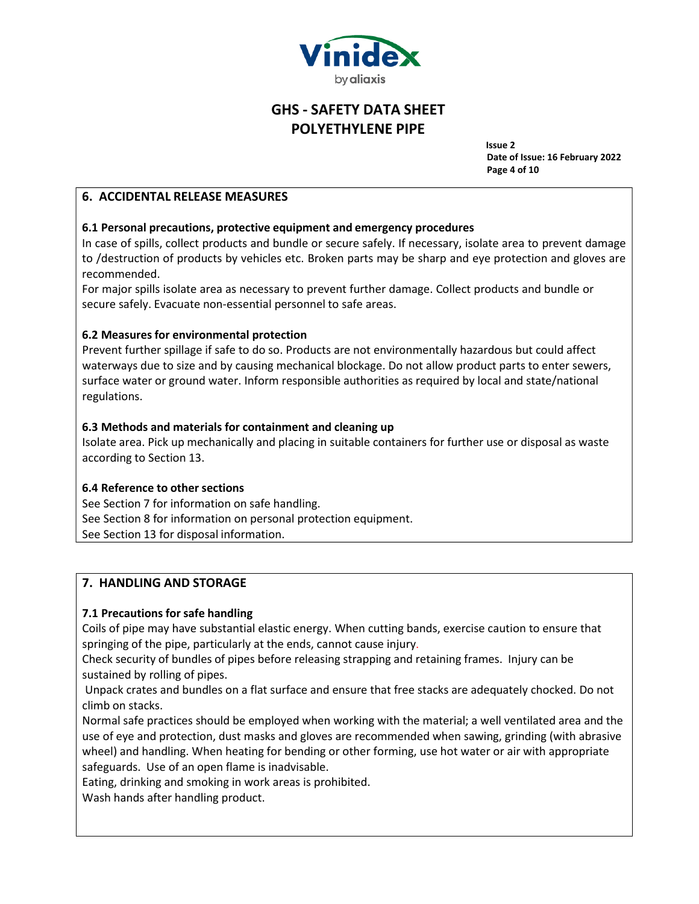

**Issue 2 Date of Issue: 16 February 2022 Page 4 of 10**

## **6. ACCIDENTAL RELEASE MEASURES**

### **6.1 Personal precautions, protective equipment and emergency procedures**

In case of spills, collect products and bundle or secure safely. If necessary, isolate area to prevent damage to /destruction of products by vehicles etc. Broken parts may be sharp and eye protection and gloves are recommended.

For major spills isolate area as necessary to prevent further damage. Collect products and bundle or secure safely. Evacuate non-essential personnel to safe areas.

#### **6.2 Measures for environmental protection**

Prevent further spillage if safe to do so. Products are not environmentally hazardous but could affect waterways due to size and by causing mechanical blockage. Do not allow product parts to enter sewers, surface water or ground water. Inform responsible authorities as required by local and state/national regulations.

#### **6.3 Methods and materials for containment and cleaning up**

Isolate area. Pick up mechanically and placing in suitable containers for further use or disposal as waste according to Section 13.

## **6.4 Reference to other sections**

See Section 7 for information on safe handling. See Section 8 for information on personal protection equipment. See Section 13 for disposal information.

## **7. HANDLING AND STORAGE**

## **7.1 Precautions for safe handling**

Coils of pipe may have substantial elastic energy. When cutting bands, exercise caution to ensure that springing of the pipe, particularly at the ends, cannot cause injury.

Check security of bundles of pipes before releasing strapping and retaining frames. Injury can be sustained by rolling of pipes.

Unpack crates and bundles on a flat surface and ensure that free stacks are adequately chocked. Do not climb on stacks.

Normal safe practices should be employed when working with the material; a well ventilated area and the use of eye and protection, dust masks and gloves are recommended when sawing, grinding (with abrasive wheel) and handling. When heating for bending or other forming, use hot water or air with appropriate safeguards. Use of an open flame is inadvisable.

Eating, drinking and smoking in work areas is prohibited.

Wash hands after handling product.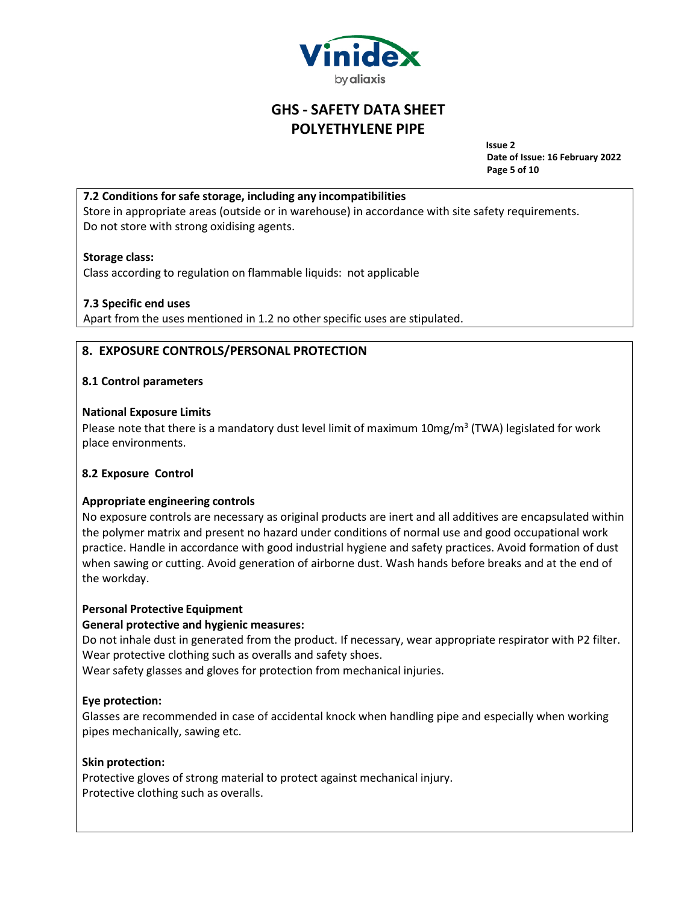

**Issue 2 Date of Issue: 16 February 2022 Page 5 of 10**

## **7.2 Conditions forsafe storage, including any incompatibilities**

Store in appropriate areas (outside or in warehouse) in accordance with site safety requirements. Do not store with strong oxidising agents.

## **Storage class:**

Class according to regulation on flammable liquids: not applicable

## **7.3 Specific end uses**

Apart from the uses mentioned in 1.2 no other specific uses are stipulated.

# **8. EXPOSURE CONTROLS/PERSONAL PROTECTION**

## **8.1 Control parameters**

## **National Exposure Limits**

Please note that there is a mandatory dust level limit of maximum 10mg/m<sup>3</sup> (TWA) legislated for work place environments.

## **8.2 Exposure Control**

## **Appropriate engineering controls**

No exposure controls are necessary as original products are inert and all additives are encapsulated within the polymer matrix and present no hazard under conditions of normal use and good occupational work practice. Handle in accordance with good industrial hygiene and safety practices. Avoid formation of dust when sawing or cutting. Avoid generation of airborne dust. Wash hands before breaks and at the end of the workday.

## **Personal Protective Equipment**

## **General protective and hygienic measures:**

Do not inhale dust in generated from the product. If necessary, wear appropriate respirator with P2 filter. Wear protective clothing such as overalls and safety shoes.

Wear safety glasses and gloves for protection from mechanical injuries.

## **Eye protection:**

Glasses are recommended in case of accidental knock when handling pipe and especially when working pipes mechanically, sawing etc.

## **Skin protection:**

Protective gloves of strong material to protect against mechanical injury. Protective clothing such as overalls.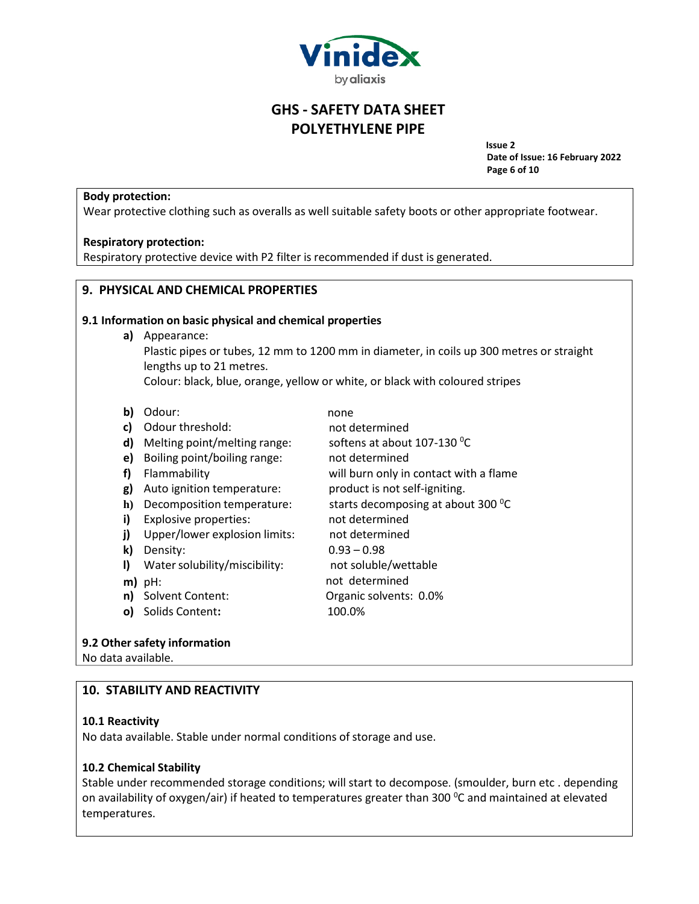

**Issue 2 Date of Issue: 16 February 2022 Page 6 of 10**

## **Body protection:**

Wear protective clothing such as overalls as well suitable safety boots or other appropriate footwear.

#### **Respiratory protection:**

Respiratory protective device with P2 filter is recommended if dust is generated.

#### **9. PHYSICAL AND CHEMICAL PROPERTIES**

#### **9.1 Information on basic physical and chemical properties**

**a)** Appearance: Plastic pipes or tubes, 12 mm to 1200 mm in diameter, in coils up 300 metres or straight lengths up to 21 metres. Colour: black, blue, orange, yellow or white, or black with coloured stripes

not determined

not determined

none

- **b)** Odour:
- **c)** Odour threshold:
- **d)** Melting point/melting range:
- **e)** Boiling point/boiling range:
- **f)** Flammability
- **g)** Auto ignition temperature:
- **h)** Decomposition temperature:
- **i)** Explosive properties:
- **j)** Upper/lower explosion limits:
- **k)** Density:
- **l)** Water solubility/miscibility:
- **m)** pH:
- **n)** Solvent Content:
- **o)** Solids Content**:**

will burn only in contact with a flame product is not self-igniting. starts decomposing at about 300 °C

softens at about  $107-130$  <sup>o</sup>C

- not determined not determined  $0.93 - 0.98$ not soluble/wettable not determined
	- Organic solvents: 0.0% 100.0%
- 

## **9.2 Other safety information**

No data available.

## **10. STABILITY AND REACTIVITY**

#### **10.1 Reactivity**

No data available. Stable under normal conditions of storage and use.

## **10.2 Chemical Stability**

Stable under recommended storage conditions; will start to decompose. (smoulder, burn etc . depending on availability of oxygen/air) if heated to temperatures greater than 300  $^{\circ}$ C and maintained at elevated temperatures.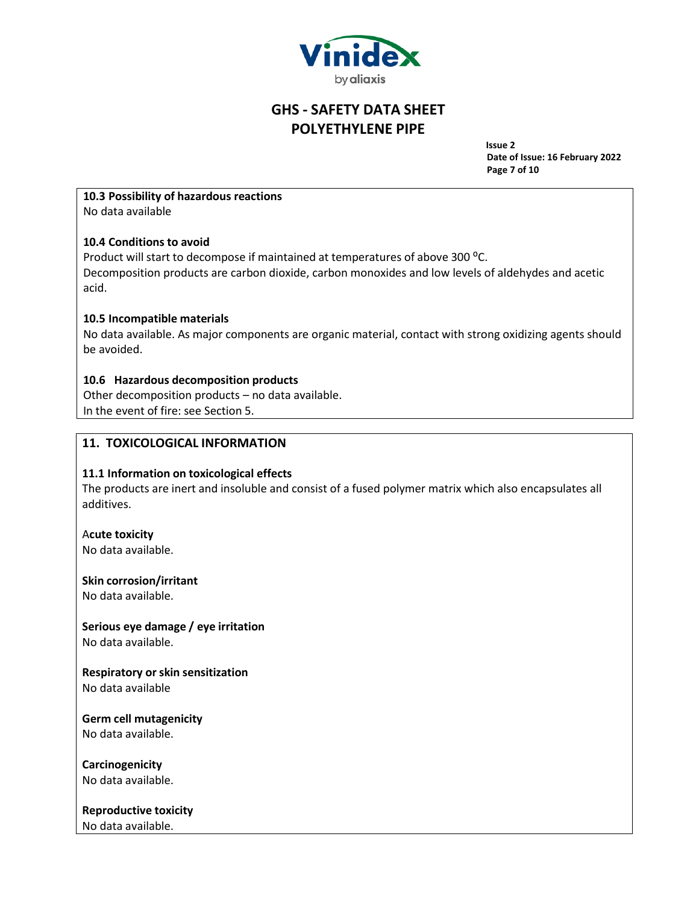

**Issue 2 Date of Issue: 16 February 2022 Page 7 of 10**

# **10.3 Possibility of hazardous reactions**

No data available

## **10.4 Conditions to avoid**

Product will start to decompose if maintained at temperatures of above 300 °C. Decomposition products are carbon dioxide, carbon monoxides and low levels of aldehydes and acetic acid.

# **10.5 Incompatible materials**

No data available. As major components are organic material, contact with strong oxidizing agents should be avoided.

# **10.6 Hazardous decomposition products**

Other decomposition products – no data available. In the event of fire: see Section 5.

# **11. TOXICOLOGICAL INFORMATION**

## **11.1 Information on toxicological effects**

The products are inert and insoluble and consist of a fused polymer matrix which also encapsulates all additives.

## A**cute toxicity**

No data available.

## **Skin corrosion/irritant**

No data available.

#### **Serious eye damage / eye irritation** No data available.

**Respiratory orskin sensitization** No data available

**Germ cell mutagenicity**

No data available.

**Carcinogenicity** No data available.

**Reproductive toxicity** No data available.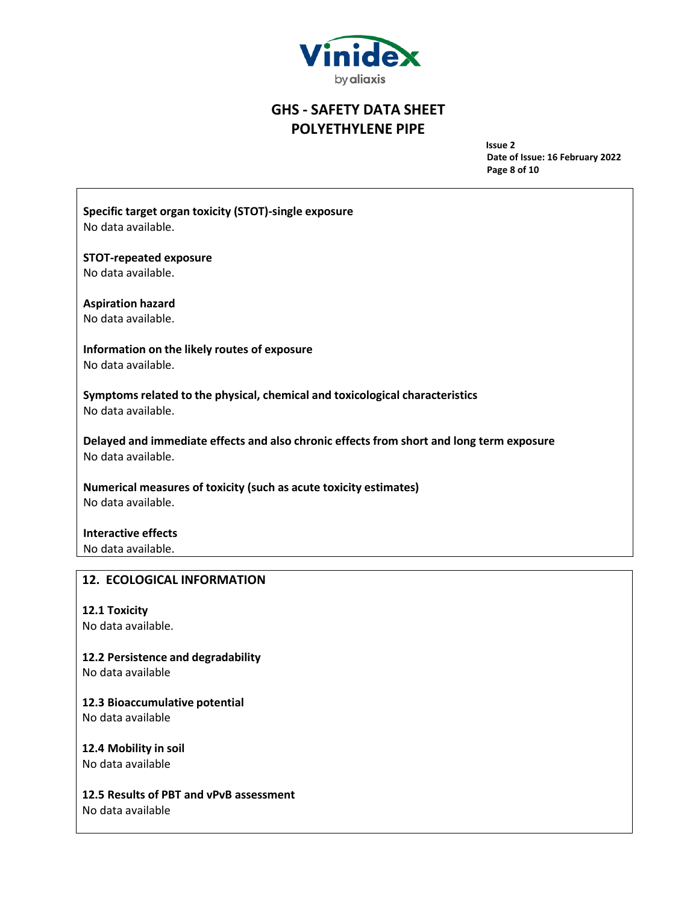

**Issue 2 Date of Issue: 16 February 2022 Page 8 of 10**

**Specific target organ toxicity (STOT)-single exposure** No data available.

**STOT-repeated exposure** No data available.

**Aspiration hazard**

No data available.

**Information on the likely routes of exposure** No data available.

**Symptoms related to the physical, chemical and toxicological characteristics** No data available.

**Delayed and immediate effects and also chronic effects from short and long term exposure** No data available.

**Numerical measures of toxicity (such as acute toxicity estimates)** No data available.

**Interactive effects** No data available.

# **12. ECOLOGICAL INFORMATION**

**12.1 Toxicity**

No data available.

**12.2 Persistence and degradability**

No data available

**12.3 Bioaccumulative potential**

No data available

**12.4 Mobility in soil** No data available

**12.5 Results of PBT and vPvB assessment** No data available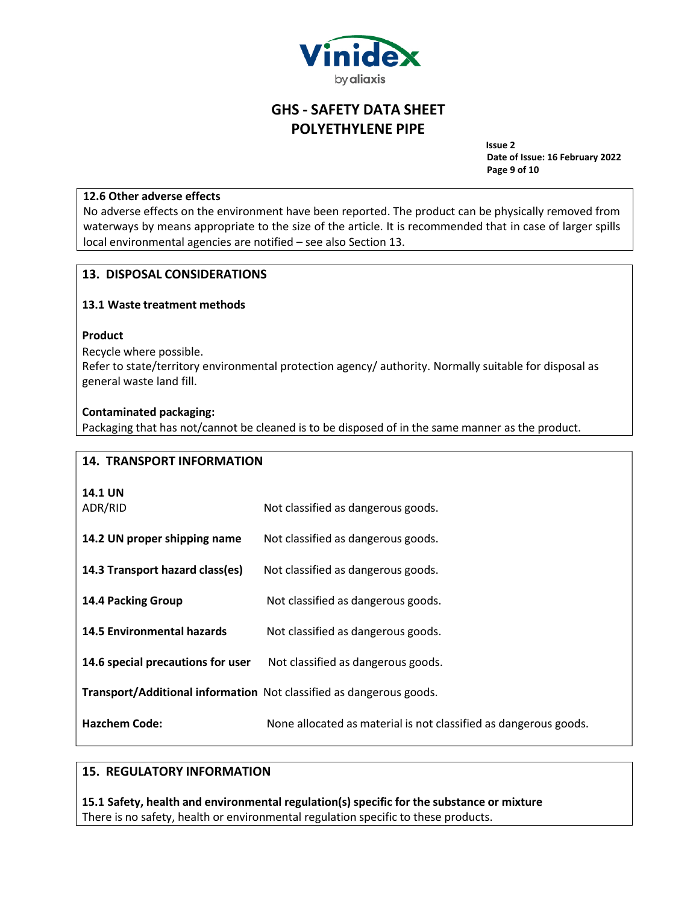

**Issue 2 Date of Issue: 16 February 2022 Page 9 of 10**

#### **12.6 Other adverse effects**

No adverse effects on the environment have been reported. The product can be physically removed from waterways by means appropriate to the size of the article. It is recommended that in case of larger spills local environmental agencies are notified – see also Section 13.

## **13. DISPOSAL CONSIDERATIONS**

## **13.1 Waste treatment methods**

#### **Product**

Recycle where possible. Refer to state/territory environmental protection agency/ authority. Normally suitable for disposal as general waste land fill.

#### **Contaminated packaging:**

Packaging that has not/cannot be cleaned is to be disposed of in the same manner as the product.

## **14. TRANSPORT INFORMATION**

| <b>14.1 UN</b> |  |
|----------------|--|
| 0.0010         |  |

ADR/RID Not classified as dangerous goods.

| 14.2 UN proper shipping name | Not classified as dangerous goods. |
|------------------------------|------------------------------------|
|------------------------------|------------------------------------|

- **14.3 Transport hazard class(es)** Not classified as dangerous goods.
- **14.4 Packing Group** Not classified as dangerous goods.
- **14.5 Environmental hazards** Not classified as dangerous goods.
- **14.6 special precautions for user** Not classified as dangerous goods.

**Transport/Additional information** Not classified as dangerous goods.

**Hazchem Code:** None allocated as material is not classified as dangerous goods.

## **15. REGULATORY INFORMATION**

**15.1 Safety, health and environmental regulation(s) specific for the substance or mixture** There is no safety, health or environmental regulation specific to these products.